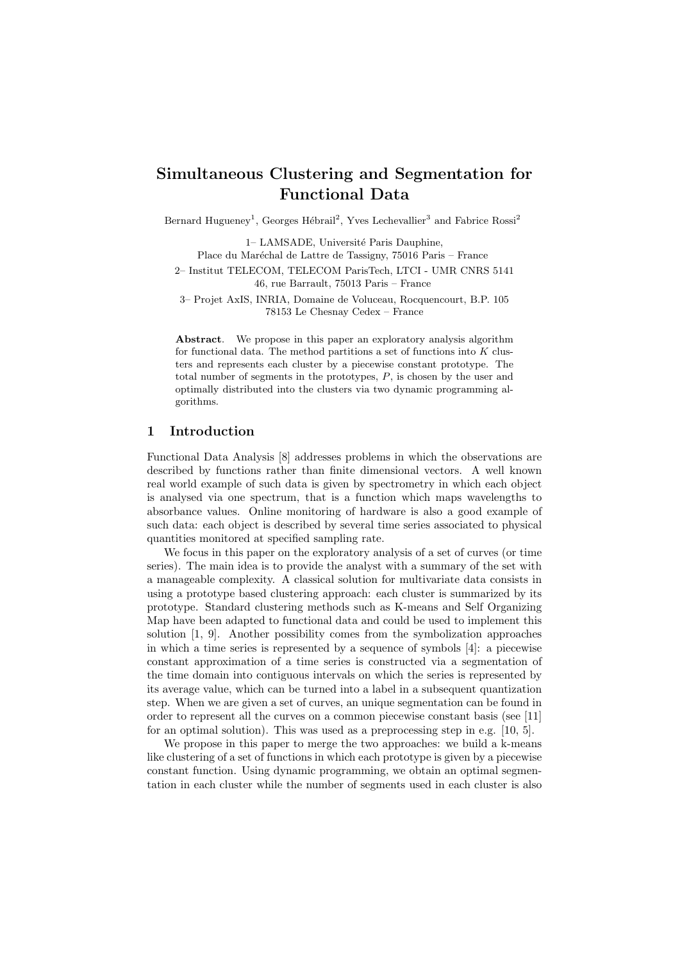# Simultaneous Clustering and Segmentation for Functional Data

Bernard Hugueney<sup>1</sup>, Georges Hébrail<sup>2</sup>, Yves Lechevallier<sup>3</sup> and Fabrice Rossi<sup>2</sup>

1– LAMSADE, Université Paris Dauphine, Place du Maréchal de Lattre de Tassigny, 75016 Paris – France 2– Institut TELECOM, TELECOM ParisTech, LTCI - UMR CNRS 5141 46, rue Barrault, 75013 Paris – France

3– Projet AxIS, INRIA, Domaine de Voluceau, Rocquencourt, B.P. 105 78153 Le Chesnay Cedex – France

Abstract. We propose in this paper an exploratory analysis algorithm for functional data. The method partitions a set of functions into  $K$  clusters and represents each cluster by a piecewise constant prototype. The total number of segments in the prototypes, P, is chosen by the user and optimally distributed into the clusters via two dynamic programming algorithms.

## 1 Introduction

Functional Data Analysis [8] addresses problems in which the observations are described by functions rather than finite dimensional vectors. A well known real world example of such data is given by spectrometry in which each object is analysed via one spectrum, that is a function which maps wavelengths to absorbance values. Online monitoring of hardware is also a good example of such data: each object is described by several time series associated to physical quantities monitored at specified sampling rate.

We focus in this paper on the exploratory analysis of a set of curves (or time series). The main idea is to provide the analyst with a summary of the set with a manageable complexity. A classical solution for multivariate data consists in using a prototype based clustering approach: each cluster is summarized by its prototype. Standard clustering methods such as K-means and Self Organizing Map have been adapted to functional data and could be used to implement this solution [1, 9]. Another possibility comes from the symbolization approaches in which a time series is represented by a sequence of symbols [4]: a piecewise constant approximation of a time series is constructed via a segmentation of the time domain into contiguous intervals on which the series is represented by its average value, which can be turned into a label in a subsequent quantization step. When we are given a set of curves, an unique segmentation can be found in order to represent all the curves on a common piecewise constant basis (see [11] for an optimal solution). This was used as a preprocessing step in e.g. [10, 5].

We propose in this paper to merge the two approaches: we build a k-means like clustering of a set of functions in which each prototype is given by a piecewise constant function. Using dynamic programming, we obtain an optimal segmentation in each cluster while the number of segments used in each cluster is also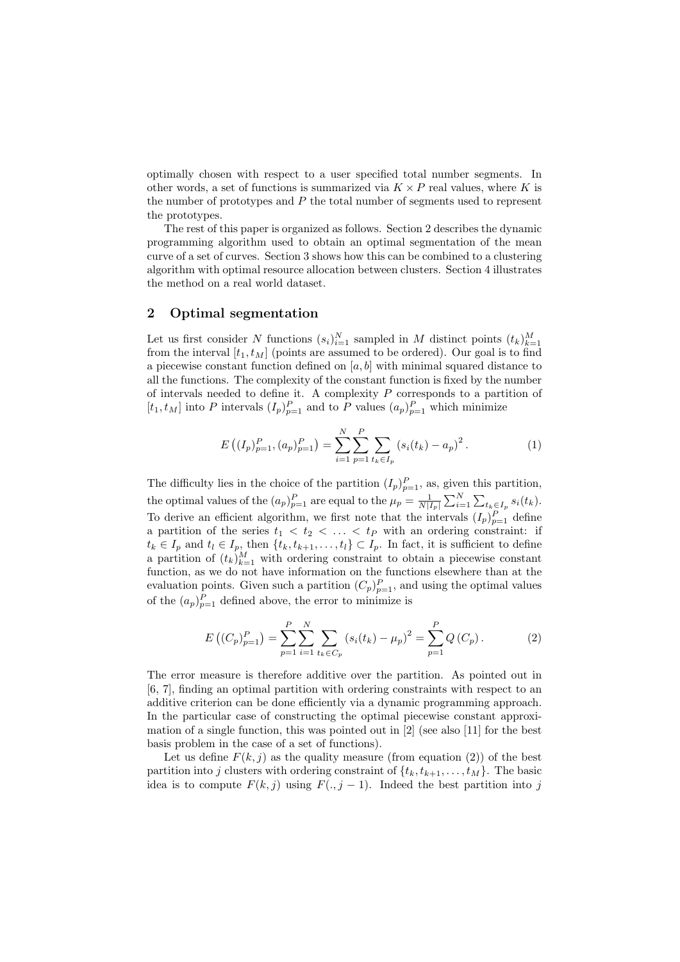optimally chosen with respect to a user specified total number segments. In other words, a set of functions is summarized via  $K \times P$  real values, where K is the number of prototypes and P the total number of segments used to represent the prototypes.

The rest of this paper is organized as follows. Section 2 describes the dynamic programming algorithm used to obtain an optimal segmentation of the mean curve of a set of curves. Section 3 shows how this can be combined to a clustering algorithm with optimal resource allocation between clusters. Section 4 illustrates the method on a real world dataset.

### 2 Optimal segmentation

Let us first consider N functions  $(s_i)_{i=1}^N$  sampled in M distinct points  $(t_k)_{k=1}^M$ from the interval  $[t_1, t_M]$  (points are assumed to be ordered). Our goal is to find a piecewise constant function defined on  $[a, b]$  with minimal squared distance to all the functions. The complexity of the constant function is fixed by the number of intervals needed to define it. A complexity  $P$  corresponds to a partition of  $[t_1, t_M]$  into P intervals  $(I_p)_{p=1}^P$  and to P values  $(a_p)_{p=1}^P$  which minimize

$$
E((I_p)_{p=1}^P,(a_p)_{p=1}^P) = \sum_{i=1}^N \sum_{p=1}^P \sum_{t_k \in I_p} (s_i(t_k) - a_p)^2.
$$
 (1)

The difficulty lies in the choice of the partition  $(I_p)_{p=1}^P$ , as, given this partition, the optimal values of the  $(a_p)_{p=1}^P$  are equal to the  $\mu_p = \frac{1}{N|I_p|} \sum_{i=1}^N \sum_{t_k \in I_p} s_i(t_k)$ . To derive an efficient algorithm, we first note that the intervals  $(I_p)_{p=1}^P$  define a partition of the series  $t_1 < t_2 < \ldots < t_p$  with an ordering constraint: if  $t_k \in I_p$  and  $t_l \in I_p$ , then  $\{t_k, t_{k+1}, \ldots, t_l\} \subset I_p$ . In fact, it is sufficient to define a partition of  $(t_k)_{k=1}^M$  with ordering constraint to obtain a piecewise constant function, as we do not have information on the functions elsewhere than at the evaluation points. Given such a partition  $(C_p)_{p=1}^P$ , and using the optimal values of the  $(a_p)_{p=1}^P$  defined above, the error to minimize is

$$
E\left((C_p)_{p=1}^P\right) = \sum_{p=1}^P \sum_{i=1}^N \sum_{t_k \in C_p} \left(s_i(t_k) - \mu_p\right)^2 = \sum_{p=1}^P Q\left(C_p\right). \tag{2}
$$

The error measure is therefore additive over the partition. As pointed out in [6, 7], finding an optimal partition with ordering constraints with respect to an additive criterion can be done efficiently via a dynamic programming approach. In the particular case of constructing the optimal piecewise constant approximation of a single function, this was pointed out in [2] (see also [11] for the best basis problem in the case of a set of functions).

Let us define  $F(k, j)$  as the quality measure (from equation (2)) of the best partition into j clusters with ordering constraint of  $\{t_k, t_{k+1}, \ldots, t_M\}$ . The basic idea is to compute  $F(k, j)$  using  $F(., j - 1)$ . Indeed the best partition into j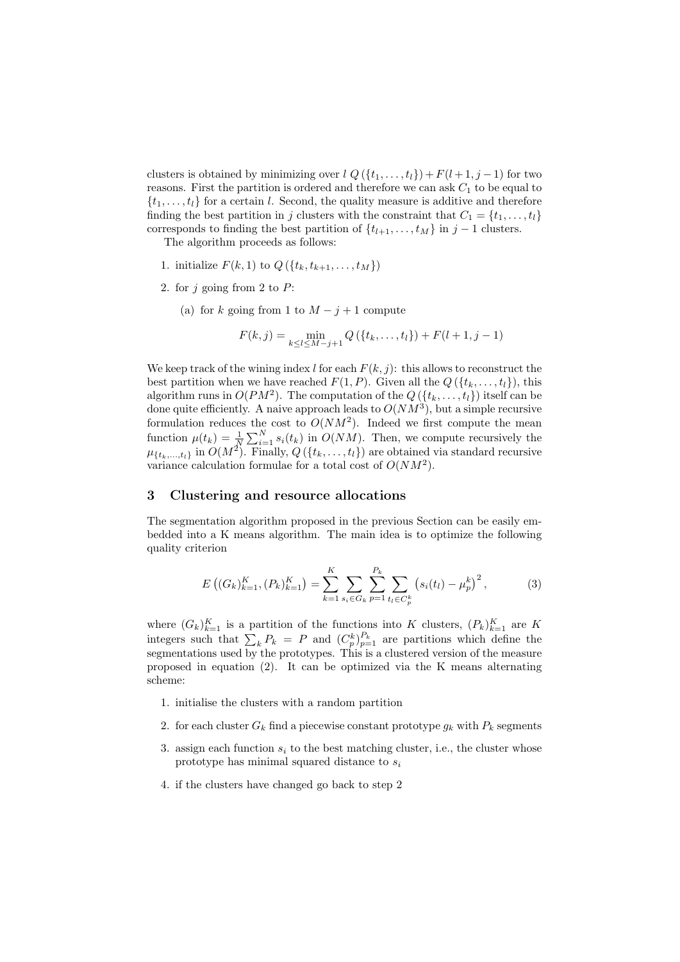clusters is obtained by minimizing over  $l Q(\lbrace t_1,\ldots,t_l \rbrace) + F(l+1,j-1)$  for two reasons. First the partition is ordered and therefore we can ask  $C_1$  to be equal to  $\{t_1, \ldots, t_l\}$  for a certain l. Second, the quality measure is additive and therefore finding the best partition in j clusters with the constraint that  $C_1 = \{t_1, \ldots, t_l\}$ corresponds to finding the best partition of  $\{t_{l+1}, \ldots, t_M\}$  in  $j-1$  clusters.

The algorithm proceeds as follows:

- 1. initialize  $F(k, 1)$  to  $Q({t_k, t_{k+1}, \ldots, t_M})$
- 2. for  $j$  going from 2 to  $P$ :
	- (a) for k going from 1 to  $M j + 1$  compute

$$
F(k, j) = \min_{k \le l \le M-j+1} Q(\{t_k, \dots, t_l\}) + F(l+1, j-1)
$$

We keep track of the wining index l for each  $F(k, j)$ : this allows to reconstruct the best partition when we have reached  $F(1, P)$ . Given all the  $Q(\lbrace t_k, \ldots, t_l \rbrace)$ , this algorithm runs in  $O(PM^2)$ . The computation of the  $Q(\lbrace t_k,\ldots,t_l\rbrace)$  itself can be done quite efficiently. A naive approach leads to  $O(NM^3)$ , but a simple recursive formulation reduces the cost to  $O(NM^2)$ . Indeed we first compute the mean function  $\mu(t_k) = \frac{1}{N} \sum_{i=1}^{N} s_i(t_k)$  in  $O(NM)$ . Then, we compute recursively the  $\mu_{\{t_k,\ldots,t_l\}}\text{ in }O(M^2)\text{. Finally, }Q\left(\{t_k,\ldots,t_l\}\right)\text{ are obtained via standard recursive}$ variance calculation formulae for a total cost of  $O(NM^2)$ .

## 3 Clustering and resource allocations

The segmentation algorithm proposed in the previous Section can be easily embedded into a K means algorithm. The main idea is to optimize the following quality criterion

$$
E\left((G_k)_{k=1}^K, (P_k)_{k=1}^K\right) = \sum_{k=1}^K \sum_{s_i \in G_k} \sum_{p=1}^{P_k} \sum_{t_l \in C_p^k} \left(s_i(t_l) - \mu_p^k\right)^2, \tag{3}
$$

where  $(G_k)_{k=1}^K$  is a partition of the functions into K clusters,  $(P_k)_{k=1}^K$  are K integers such that  $\sum_{k} P_{k} = P$  and  $(C_{p}^{k})_{p=1}^{P_{k}}$  are partitions which define the segmentations used by the prototypes. This is a clustered version of the measure proposed in equation (2). It can be optimized via the K means alternating scheme:

- 1. initialise the clusters with a random partition
- 2. for each cluster  $G_k$  find a piecewise constant prototype  $g_k$  with  $P_k$  segments
- 3. assign each function  $s_i$  to the best matching cluster, i.e., the cluster whose prototype has minimal squared distance to  $s_i$
- 4. if the clusters have changed go back to step 2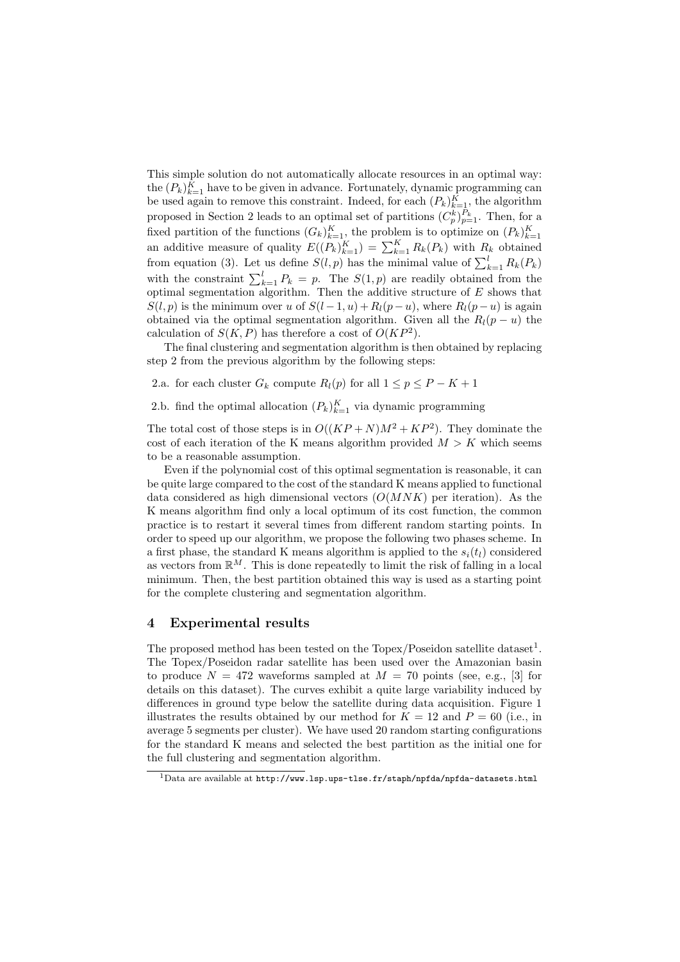This simple solution do not automatically allocate resources in an optimal way: the  $(P_k)_{k=1}^K$  have to be given in advance. Fortunately, dynamic programming can be used again to remove this constraint. Indeed, for each  $(P_k)_{k=1}^K$ , the algorithm proposed in Section 2 leads to an optimal set of partitions  $(C_p^k)_{p=1}^{P_k}$ . Then, for a fixed partition of the functions  $(G_k)_{k=1}^K$ , the problem is to optimize on  $(P_k)_{k=1}^K$ an additive measure of quality  $E((P_k)_{k=1}^K) = \sum_{k=1}^K R_k(P_k)$  with  $R_k$  obtained from equation (3). Let us define  $S(l, p)$  has the minimal value of  $\sum_{k=1}^{l} R_k(P_k)$ with the constraint  $\sum_{k=1}^{l} P_k = p$ . The  $S(1, p)$  are readily obtained from the optimal segmentation algorithm. Then the additive structure of  $E$  shows that  $S(l, p)$  is the minimum over u of  $S(l-1, u) + R_l(p-u)$ , where  $R_l(p-u)$  is again obtained via the optimal segmentation algorithm. Given all the  $R_l(p - u)$  the calculation of  $S(K, P)$  has therefore a cost of  $O(KP^2)$ .

The final clustering and segmentation algorithm is then obtained by replacing step 2 from the previous algorithm by the following steps:

2.a. for each cluster  $G_k$  compute  $R_l(p)$  for all  $1 \leq p \leq P - K + 1$ 

2.b. find the optimal allocation  $(P_k)_{k=1}^K$  via dynamic programming

The total cost of those steps is in  $O((KP+N)M^2 + KP^2)$ . They dominate the cost of each iteration of the K means algorithm provided  $M > K$  which seems to be a reasonable assumption.

Even if the polynomial cost of this optimal segmentation is reasonable, it can be quite large compared to the cost of the standard K means applied to functional data considered as high dimensional vectors  $(O(MNK))$  per iteration). As the K means algorithm find only a local optimum of its cost function, the common practice is to restart it several times from different random starting points. In order to speed up our algorithm, we propose the following two phases scheme. In a first phase, the standard K means algorithm is applied to the  $s_i(t_l)$  considered as vectors from  $\mathbb{R}^M$ . This is done repeatedly to limit the risk of falling in a local minimum. Then, the best partition obtained this way is used as a starting point for the complete clustering and segmentation algorithm.

### 4 Experimental results

The proposed method has been tested on the  $T_{\text{opex}}/P_{\text{Oseidon}}$  satellite dataset<sup>1</sup>. The Topex/Poseidon radar satellite has been used over the Amazonian basin to produce  $N = 472$  waveforms sampled at  $M = 70$  points (see, e.g., [3] for details on this dataset). The curves exhibit a quite large variability induced by differences in ground type below the satellite during data acquisition. Figure 1 illustrates the results obtained by our method for  $K = 12$  and  $P = 60$  (i.e., in average 5 segments per cluster). We have used 20 random starting configurations for the standard K means and selected the best partition as the initial one for the full clustering and segmentation algorithm.

 $1$ Data are available at http://www.lsp.ups-tlse.fr/staph/npfda/npfda-datasets.html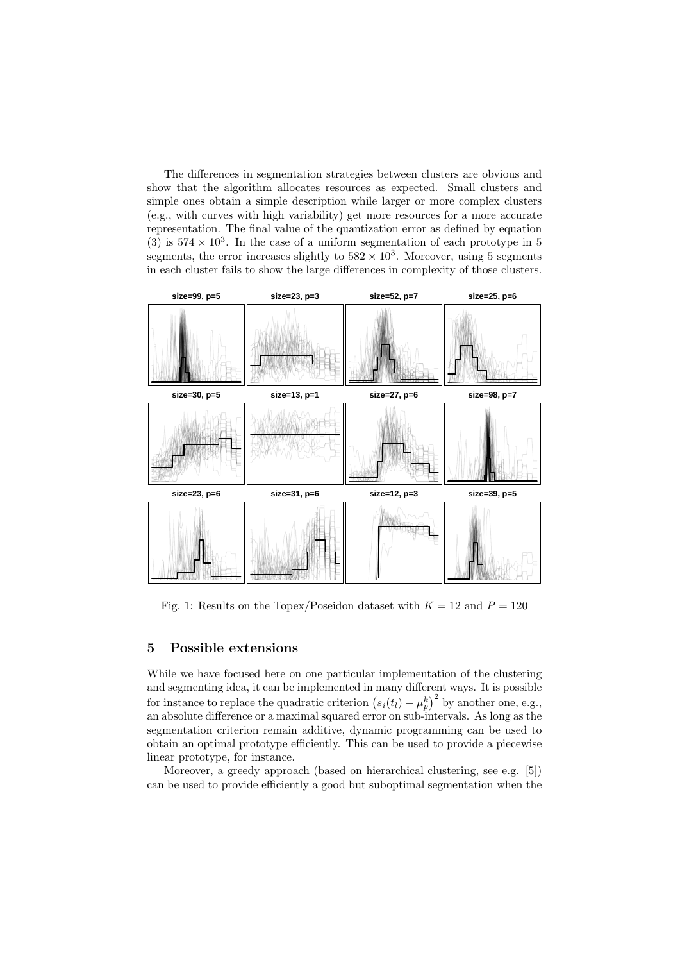The differences in segmentation strategies between clusters are obvious and show that the algorithm allocates resources as expected. Small clusters and simple ones obtain a simple description while larger or more complex clusters (e.g., with curves with high variability) get more resources for a more accurate representation. The final value of the quantization error as defined by equation (3) is  $574 \times 10^3$ . In the case of a uniform segmentation of each prototype in 5 segments, the error increases slightly to  $582 \times 10^3$ . Moreover, using 5 segments in each cluster fails to show the large differences in complexity of those clusters.



Fig. 1: Results on the Topex/Poseidon dataset with  $K = 12$  and  $P = 120$ 

### 5 Possible extensions

While we have focused here on one particular implementation of the clustering and segmenting idea, it can be implemented in many different ways. It is possible for instance to replace the quadratic criterion  $(s_i(t_l) - \mu_p^k)^2$  by another one, e.g., an absolute difference or a maximal squared error on sub-intervals. As long as the segmentation criterion remain additive, dynamic programming can be used to obtain an optimal prototype efficiently. This can be used to provide a piecewise linear prototype, for instance.

Moreover, a greedy approach (based on hierarchical clustering, see e.g. [5]) can be used to provide efficiently a good but suboptimal segmentation when the